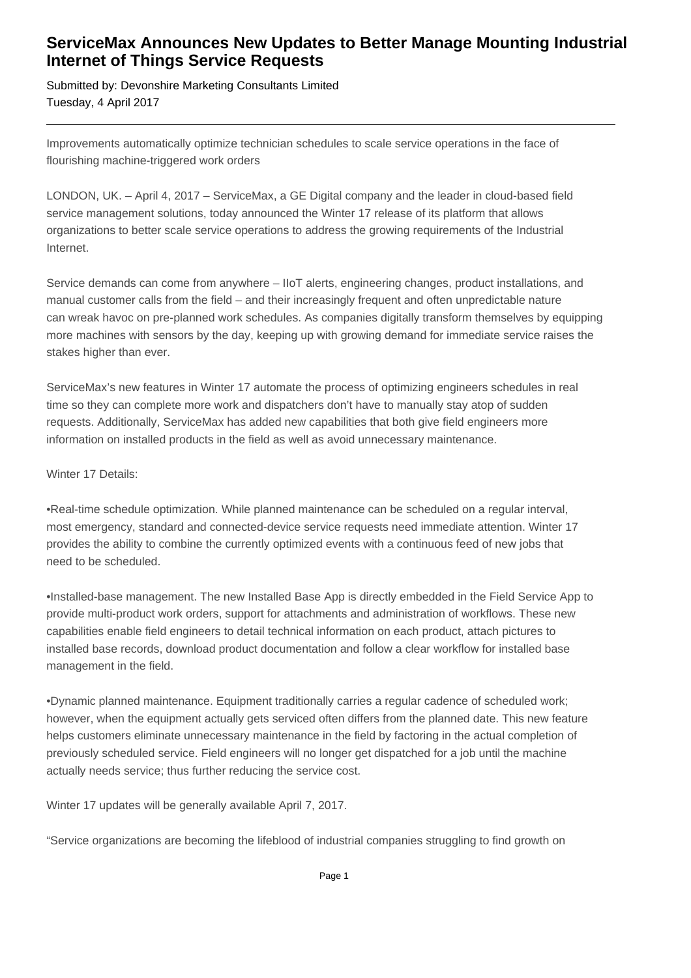## **ServiceMax Announces New Updates to Better Manage Mounting Industrial Internet of Things Service Requests**

Submitted by: Devonshire Marketing Consultants Limited Tuesday, 4 April 2017

Improvements automatically optimize technician schedules to scale service operations in the face of flourishing machine-triggered work orders

LONDON, UK. – April 4, 2017 – ServiceMax, a GE Digital company and the leader in cloud-based field service management solutions, today announced the Winter 17 release of its platform that allows organizations to better scale service operations to address the growing requirements of the Industrial Internet.

Service demands can come from anywhere – IIoT alerts, engineering changes, product installations, and manual customer calls from the field – and their increasingly frequent and often unpredictable nature can wreak havoc on pre-planned work schedules. As companies digitally transform themselves by equipping more machines with sensors by the day, keeping up with growing demand for immediate service raises the stakes higher than ever.

ServiceMax's new features in Winter 17 automate the process of optimizing engineers schedules in real time so they can complete more work and dispatchers don't have to manually stay atop of sudden requests. Additionally, ServiceMax has added new capabilities that both give field engineers more information on installed products in the field as well as avoid unnecessary maintenance.

## Winter 17 Details:

•Real-time schedule optimization. While planned maintenance can be scheduled on a regular interval, most emergency, standard and connected-device service requests need immediate attention. Winter 17 provides the ability to combine the currently optimized events with a continuous feed of new jobs that need to be scheduled.

•Installed-base management. The new Installed Base App is directly embedded in the Field Service App to provide multi-product work orders, support for attachments and administration of workflows. These new capabilities enable field engineers to detail technical information on each product, attach pictures to installed base records, download product documentation and follow a clear workflow for installed base management in the field.

•Dynamic planned maintenance. Equipment traditionally carries a regular cadence of scheduled work; however, when the equipment actually gets serviced often differs from the planned date. This new feature helps customers eliminate unnecessary maintenance in the field by factoring in the actual completion of previously scheduled service. Field engineers will no longer get dispatched for a job until the machine actually needs service; thus further reducing the service cost.

Winter 17 updates will be generally available April 7, 2017.

"Service organizations are becoming the lifeblood of industrial companies struggling to find growth on